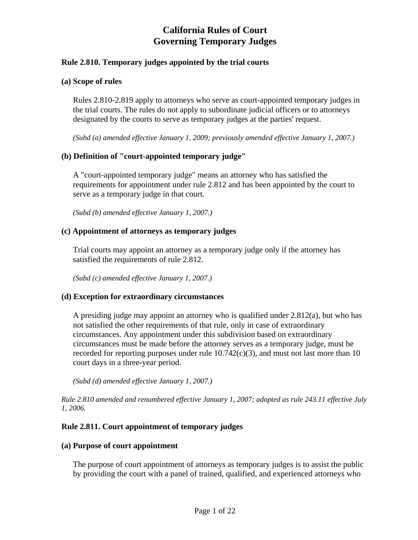# **Rule 2.810. Temporary judges appointed by the trial courts**

### **(a) Scope of rules**

Rules 2.810-2.819 apply to attorneys who serve as court-appointed temporary judges in the trial courts. The rules do not apply to subordinate judicial officers or to attorneys designated by the courts to serve as temporary judges at the parties' request.

*(Subd (a) amended effective January 1, 2009; previously amended effective January 1, 2007.)* 

# **(b) Definition of "court-appointed temporary judge"**

A "court-appointed temporary judge" means an attorney who has satisfied the requirements for appointment under rule 2.812 and has been appointed by the court to serve as a temporary judge in that court.

*(Subd (b) amended effective January 1, 2007.)* 

# **(c) Appointment of attorneys as temporary judges**

Trial courts may appoint an attorney as a temporary judge only if the attorney has satisfied the requirements of rule 2.812.

*(Subd (c) amended effective January 1, 2007.)* 

### **(d) Exception for extraordinary circumstances**

A presiding judge may appoint an attorney who is qualified under 2.812(a), but who has not satisfied the other requirements of that rule, only in case of extraordinary circumstances. Any appointment under this subdivision based on extraordinary circumstances must be made before the attorney serves as a temporary judge, must be recorded for reporting purposes under rule  $10.742(c)(3)$ , and must not last more than 10 court days in a three-year period.

*(Subd (d) amended effective January 1, 2007.)* 

*Rule 2.810 amended and renumbered effective January 1, 2007; adopted as rule 243.11 effective July 1, 2006.* 

### **Rule 2.811. Court appointment of temporary judges**

### **(a) Purpose of court appointment**

The purpose of court appointment of attorneys as temporary judges is to assist the public by providing the court with a panel of trained, qualified, and experienced attorneys who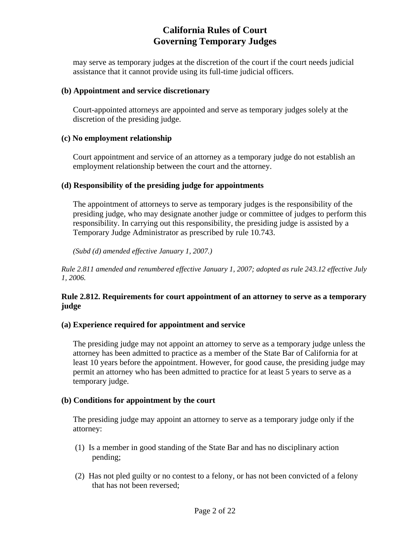may serve as temporary judges at the discretion of the court if the court needs judicial assistance that it cannot provide using its full-time judicial officers.

### **(b) Appointment and service discretionary**

Court-appointed attorneys are appointed and serve as temporary judges solely at the discretion of the presiding judge.

# **(c) No employment relationship**

Court appointment and service of an attorney as a temporary judge do not establish an employment relationship between the court and the attorney.

# **(d) Responsibility of the presiding judge for appointments**

The appointment of attorneys to serve as temporary judges is the responsibility of the presiding judge, who may designate another judge or committee of judges to perform this responsibility. In carrying out this responsibility, the presiding judge is assisted by a Temporary Judge Administrator as prescribed by rule 10.743.

*(Subd (d) amended effective January 1, 2007.)* 

*Rule 2.811 amended and renumbered effective January 1, 2007; adopted as rule 243.12 effective July 1, 2006.* 

# **Rule 2.812. Requirements for court appointment of an attorney to serve as a temporary judge**

# **(a) Experience required for appointment and service**

The presiding judge may not appoint an attorney to serve as a temporary judge unless the attorney has been admitted to practice as a member of the State Bar of California for at least 10 years before the appointment. However, for good cause, the presiding judge may permit an attorney who has been admitted to practice for at least 5 years to serve as a temporary judge.

# **(b) Conditions for appointment by the court**

The presiding judge may appoint an attorney to serve as a temporary judge only if the attorney:

- (1) Is a member in good standing of the State Bar and has no disciplinary action pending;
- (2) Has not pled guilty or no contest to a felony, or has not been convicted of a felony that has not been reversed;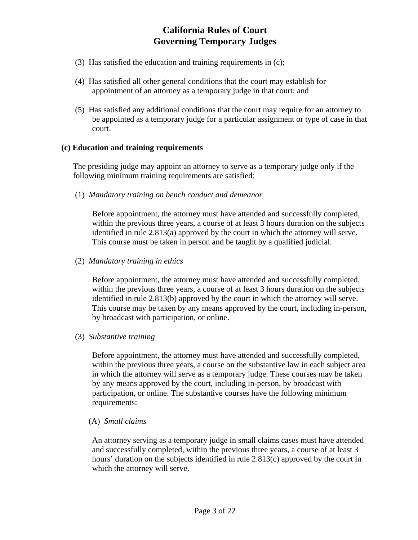- (3) Has satisfied the education and training requirements in (c);
- (4) Has satisfied all other general conditions that the court may establish for appointment of an attorney as a temporary judge in that court; and
- (5) Has satisfied any additional conditions that the court may require for an attorney to be appointed as a temporary judge for a particular assignment or type of case in that court.

# **(c) Education and training requirements**

The presiding judge may appoint an attorney to serve as a temporary judge only if the following minimum training requirements are satisfied:

(1) *Mandatory training on bench conduct and demeanor* 

Before appointment, the attorney must have attended and successfully completed, within the previous three years, a course of at least 3 hours duration on the subjects identified in rule 2.813(a) approved by the court in which the attorney will serve. This course must be taken in person and be taught by a qualified judicial.

(2) *Mandatory training in ethics* 

Before appointment, the attorney must have attended and successfully completed, within the previous three years, a course of at least 3 hours duration on the subjects identified in rule 2.813(b) approved by the court in which the attorney will serve. This course may be taken by any means approved by the court, including in-person, by broadcast with participation, or online.

(3) *Substantive training* 

Before appointment, the attorney must have attended and successfully completed, within the previous three years, a course on the substantive law in each subject area in which the attorney will serve as a temporary judge. These courses may be taken by any means approved by the court, including in-person, by broadcast with participation, or online. The substantive courses have the following minimum requirements:

(A) *Small claims* 

An attorney serving as a temporary judge in small claims cases must have attended and successfully completed, within the previous three years, a course of at least 3 hours' duration on the subjects identified in rule 2.813(c) approved by the court in which the attorney will serve.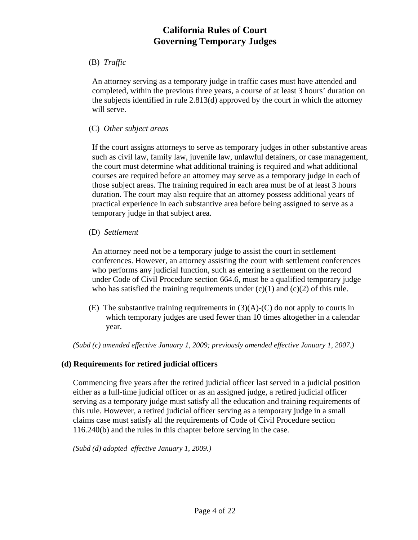# (B) *Traffic*

An attorney serving as a temporary judge in traffic cases must have attended and completed, within the previous three years, a course of at least 3 hours' duration on the subjects identified in rule 2.813(d) approved by the court in which the attorney will serve.

(C) *Other subject areas* 

If the court assigns attorneys to serve as temporary judges in other substantive areas such as civil law, family law, juvenile law, unlawful detainers, or case management, the court must determine what additional training is required and what additional courses are required before an attorney may serve as a temporary judge in each of those subject areas. The training required in each area must be of at least 3 hours duration. The court may also require that an attorney possess additional years of practical experience in each substantive area before being assigned to serve as a temporary judge in that subject area.

(D) *Settlement* 

An attorney need not be a temporary judge to assist the court in settlement conferences. However, an attorney assisting the court with settlement conferences who performs any judicial function, such as entering a settlement on the record under Code of Civil Procedure section 664.6, must be a qualified temporary judge who has satisfied the training requirements under  $(c)(1)$  and  $(c)(2)$  of this rule.

(E) The substantive training requirements in  $(3)(A)-(C)$  do not apply to courts in which temporary judges are used fewer than 10 times altogether in a calendar year.

*(Subd (c) amended effective January 1, 2009; previously amended effective January 1, 2007.)* 

# **(d) Requirements for retired judicial officers**

Commencing five years after the retired judicial officer last served in a judicial position either as a full-time judicial officer or as an assigned judge, a retired judicial officer serving as a temporary judge must satisfy all the education and training requirements of this rule. However, a retired judicial officer serving as a temporary judge in a small claims case must satisfy all the requirements of Code of Civil Procedure section 116.240(b) and the rules in this chapter before serving in the case.

*(Subd (d) adopted effective January 1, 2009.)*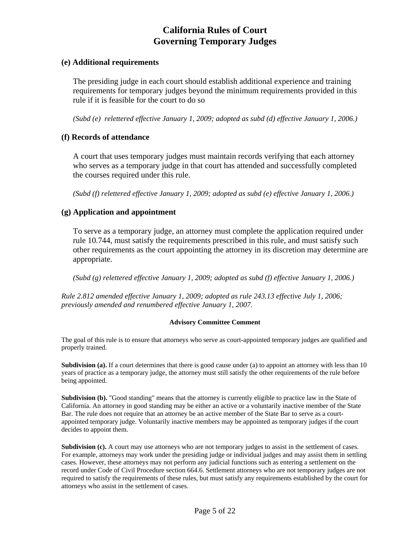### **(e) Additional requirements**

The presiding judge in each court should establish additional experience and training requirements for temporary judges beyond the minimum requirements provided in this rule if it is feasible for the court to do so

*(Subd (e) relettered effective January 1, 2009; adopted as subd (d) effective January 1, 2006.)*

### **(f) Records of attendance**

A court that uses temporary judges must maintain records verifying that each attorney who serves as a temporary judge in that court has attended and successfully completed the courses required under this rule.

*(Subd (f) relettered effective January 1, 2009; adopted as subd (e) effective January 1, 2006.)*

# **(g) Application and appointment**

To serve as a temporary judge, an attorney must complete the application required under rule 10.744, must satisfy the requirements prescribed in this rule, and must satisfy such other requirements as the court appointing the attorney in its discretion may determine are appropriate.

*(Subd (g) relettered effective January 1, 2009; adopted as subd (f) effective January 1, 2006.)* 

*Rule 2.812 amended effective January 1, 2009; adopted as rule 243.13 effective July 1, 2006; previously amended and renumbered effective January 1, 2007.* 

#### **Advisory Committee Comment**

The goal of this rule is to ensure that attorneys who serve as court-appointed temporary judges are qualified and properly trained.

**Subdivision (a).** If a court determines that there is good cause under (a) to appoint an attorney with less than 10 years of practice as a temporary judge, the attorney must still satisfy the other requirements of the rule before being appointed.

**Subdivision (b).** "Good standing" means that the attorney is currently eligible to practice law in the State of California. An attorney in good standing may be either an active or a voluntarily inactive member of the State Bar. The rule does not require that an attorney be an active member of the State Bar to serve as a courtappointed temporary judge. Voluntarily inactive members may be appointed as temporary judges if the court decides to appoint them.

**Subdivision (c).** A court may use attorneys who are not temporary judges to assist in the settlement of cases. For example, attorneys may work under the presiding judge or individual judges and may assist them in settling cases. However, these attorneys may not perform any judicial functions such as entering a settlement on the record under Code of Civil Procedure section 664.6. Settlement attorneys who are not temporary judges are not required to satisfy the requirements of these rules, but must satisfy any requirements established by the court for attorneys who assist in the settlement of cases.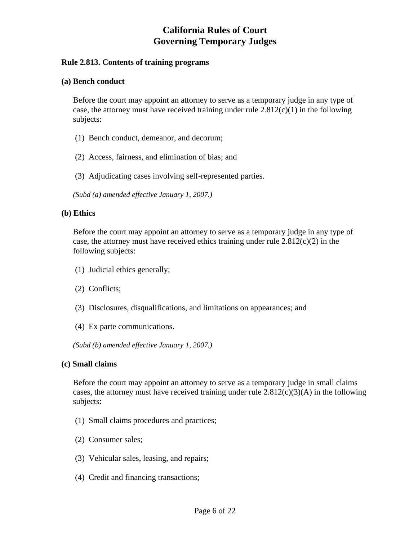# **Rule 2.813. Contents of training programs**

# **(a) Bench conduct**

Before the court may appoint an attorney to serve as a temporary judge in any type of case, the attorney must have received training under rule  $2.812(c)(1)$  in the following subjects:

- (1) Bench conduct, demeanor, and decorum;
- (2) Access, fairness, and elimination of bias; and
- (3) Adjudicating cases involving self-represented parties.

*(Subd (a) amended effective January 1, 2007.)* 

# **(b) Ethics**

Before the court may appoint an attorney to serve as a temporary judge in any type of case, the attorney must have received ethics training under rule  $2.812(c)(2)$  in the following subjects:

- (1) Judicial ethics generally;
- (2) Conflicts;
- (3) Disclosures, disqualifications, and limitations on appearances; and
- (4) Ex parte communications.

*(Subd (b) amended effective January 1, 2007.)* 

### **(c) Small claims**

Before the court may appoint an attorney to serve as a temporary judge in small claims cases, the attorney must have received training under rule  $2.812(c)(3)(A)$  in the following subjects:

- (1) Small claims procedures and practices;
- (2) Consumer sales;
- (3) Vehicular sales, leasing, and repairs;
- (4) Credit and financing transactions;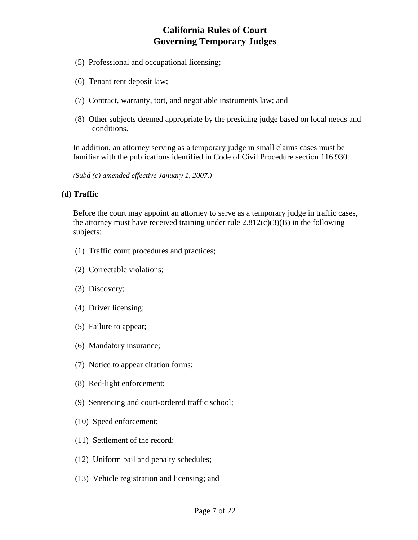- (5) Professional and occupational licensing;
- (6) Tenant rent deposit law;
- (7) Contract, warranty, tort, and negotiable instruments law; and
- (8) Other subjects deemed appropriate by the presiding judge based on local needs and conditions.

In addition, an attorney serving as a temporary judge in small claims cases must be familiar with the publications identified in Code of Civil Procedure section 116.930.

*(Subd (c) amended effective January 1, 2007.)* 

# **(d) Traffic**

Before the court may appoint an attorney to serve as a temporary judge in traffic cases, the attorney must have received training under rule  $2.812(c)(3)(B)$  in the following subjects:

- (1) Traffic court procedures and practices;
- (2) Correctable violations;
- (3) Discovery;
- (4) Driver licensing;
- (5) Failure to appear;
- (6) Mandatory insurance;
- (7) Notice to appear citation forms;
- (8) Red-light enforcement;
- (9) Sentencing and court-ordered traffic school;
- (10) Speed enforcement;
- (11) Settlement of the record;
- (12) Uniform bail and penalty schedules;
- (13) Vehicle registration and licensing; and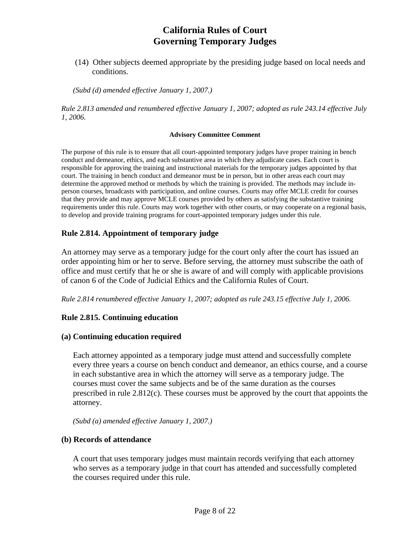(14) Other subjects deemed appropriate by the presiding judge based on local needs and conditions.

*(Subd (d) amended effective January 1, 2007.)* 

*Rule 2.813 amended and renumbered effective January 1, 2007; adopted as rule 243.14 effective July 1, 2006.* 

#### **Advisory Committee Comment**

The purpose of this rule is to ensure that all court-appointed temporary judges have proper training in bench conduct and demeanor, ethics, and each substantive area in which they adjudicate cases. Each court is responsible for approving the training and instructional materials for the temporary judges appointed by that court. The training in bench conduct and demeanor must be in person, but in other areas each court may determine the approved method or methods by which the training is provided. The methods may include inperson courses, broadcasts with participation, and online courses. Courts may offer MCLE credit for courses that they provide and may approve MCLE courses provided by others as satisfying the substantive training requirements under this rule. Courts may work together with other courts, or may cooperate on a regional basis, to develop and provide training programs for court-appointed temporary judges under this rule.

# **Rule 2.814. Appointment of temporary judge**

An attorney may serve as a temporary judge for the court only after the court has issued an order appointing him or her to serve. Before serving, the attorney must subscribe the oath of office and must certify that he or she is aware of and will comply with applicable provisions of canon 6 of the Code of Judicial Ethics and the California Rules of Court.

*Rule 2.814 renumbered effective January 1, 2007; adopted as rule 243.15 effective July 1, 2006.* 

### **Rule 2.815. Continuing education**

### **(a) Continuing education required**

Each attorney appointed as a temporary judge must attend and successfully complete every three years a course on bench conduct and demeanor, an ethics course, and a course in each substantive area in which the attorney will serve as a temporary judge. The courses must cover the same subjects and be of the same duration as the courses prescribed in rule 2.812(c). These courses must be approved by the court that appoints the attorney.

*(Subd (a) amended effective January 1, 2007.)* 

### **(b) Records of attendance**

A court that uses temporary judges must maintain records verifying that each attorney who serves as a temporary judge in that court has attended and successfully completed the courses required under this rule.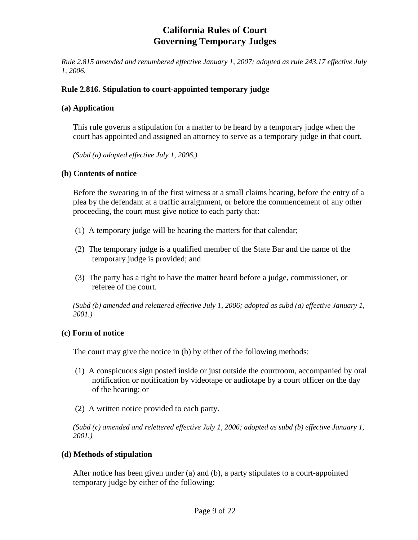*Rule 2.815 amended and renumbered effective January 1, 2007; adopted as rule 243.17 effective July 1, 2006.* 

### **Rule 2.816. Stipulation to court-appointed temporary judge**

### **(a) Application**

This rule governs a stipulation for a matter to be heard by a temporary judge when the court has appointed and assigned an attorney to serve as a temporary judge in that court.

*(Subd (a) adopted effective July 1, 2006.)* 

### **(b) Contents of notice**

Before the swearing in of the first witness at a small claims hearing, before the entry of a plea by the defendant at a traffic arraignment, or before the commencement of any other proceeding, the court must give notice to each party that:

- (1) A temporary judge will be hearing the matters for that calendar;
- (2) The temporary judge is a qualified member of the State Bar and the name of the temporary judge is provided; and
- (3) The party has a right to have the matter heard before a judge, commissioner, or referee of the court.

*(Subd (b) amended and relettered effective July 1, 2006; adopted as subd (a) effective January 1, 2001.)* 

### **(c) Form of notice**

The court may give the notice in (b) by either of the following methods:

- (1) A conspicuous sign posted inside or just outside the courtroom, accompanied by oral notification or notification by videotape or audiotape by a court officer on the day of the hearing; or
- (2) A written notice provided to each party.

*(Subd (c) amended and relettered effective July 1, 2006; adopted as subd (b) effective January 1, 2001.)* 

### **(d) Methods of stipulation**

After notice has been given under (a) and (b), a party stipulates to a court-appointed temporary judge by either of the following: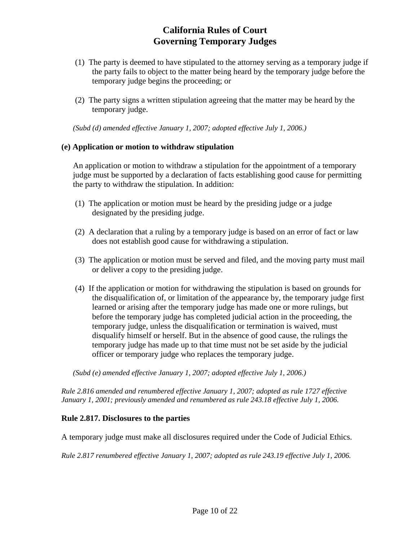- (1) The party is deemed to have stipulated to the attorney serving as a temporary judge if the party fails to object to the matter being heard by the temporary judge before the temporary judge begins the proceeding; or
- (2) The party signs a written stipulation agreeing that the matter may be heard by the temporary judge.

*(Subd (d) amended effective January 1, 2007; adopted effective July 1, 2006.)* 

### **(e) Application or motion to withdraw stipulation**

An application or motion to withdraw a stipulation for the appointment of a temporary judge must be supported by a declaration of facts establishing good cause for permitting the party to withdraw the stipulation. In addition:

- (1) The application or motion must be heard by the presiding judge or a judge designated by the presiding judge.
- (2) A declaration that a ruling by a temporary judge is based on an error of fact or law does not establish good cause for withdrawing a stipulation.
- (3) The application or motion must be served and filed, and the moving party must mail or deliver a copy to the presiding judge.
- (4) If the application or motion for withdrawing the stipulation is based on grounds for the disqualification of, or limitation of the appearance by, the temporary judge first learned or arising after the temporary judge has made one or more rulings, but before the temporary judge has completed judicial action in the proceeding, the temporary judge, unless the disqualification or termination is waived, must disqualify himself or herself. But in the absence of good cause, the rulings the temporary judge has made up to that time must not be set aside by the judicial officer or temporary judge who replaces the temporary judge.

*(Subd (e) amended effective January 1, 2007; adopted effective July 1, 2006.)* 

*Rule 2.816 amended and renumbered effective January 1, 2007; adopted as rule 1727 effective January 1, 2001; previously amended and renumbered as rule 243.18 effective July 1, 2006.* 

### **Rule 2.817. Disclosures to the parties**

A temporary judge must make all disclosures required under the Code of Judicial Ethics.

*Rule 2.817 renumbered effective January 1, 2007; adopted as rule 243.19 effective July 1, 2006.*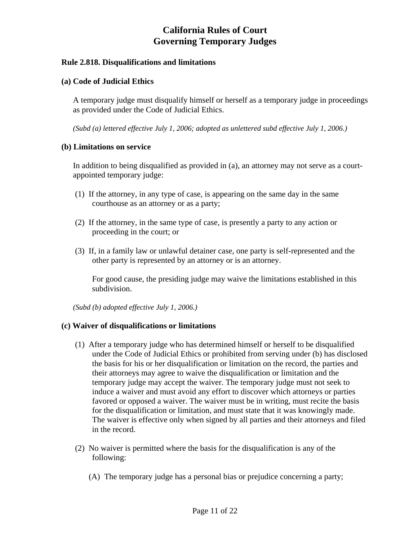# **Rule 2.818. Disqualifications and limitations**

# **(a) Code of Judicial Ethics**

A temporary judge must disqualify himself or herself as a temporary judge in proceedings as provided under the Code of Judicial Ethics.

*(Subd (a) lettered effective July 1, 2006; adopted as unlettered subd effective July 1, 2006.)* 

### **(b) Limitations on service**

In addition to being disqualified as provided in (a), an attorney may not serve as a courtappointed temporary judge:

- (1) If the attorney, in any type of case, is appearing on the same day in the same courthouse as an attorney or as a party;
- (2) If the attorney, in the same type of case, is presently a party to any action or proceeding in the court; or
- (3) If, in a family law or unlawful detainer case, one party is self-represented and the other party is represented by an attorney or is an attorney.

For good cause, the presiding judge may waive the limitations established in this subdivision.

*(Subd (b) adopted effective July 1, 2006.)* 

### **(c) Waiver of disqualifications or limitations**

- (1) After a temporary judge who has determined himself or herself to be disqualified under the Code of Judicial Ethics or prohibited from serving under (b) has disclosed the basis for his or her disqualification or limitation on the record, the parties and their attorneys may agree to waive the disqualification or limitation and the temporary judge may accept the waiver. The temporary judge must not seek to induce a waiver and must avoid any effort to discover which attorneys or parties favored or opposed a waiver. The waiver must be in writing, must recite the basis for the disqualification or limitation, and must state that it was knowingly made. The waiver is effective only when signed by all parties and their attorneys and filed in the record.
- (2) No waiver is permitted where the basis for the disqualification is any of the following:
	- (A) The temporary judge has a personal bias or prejudice concerning a party;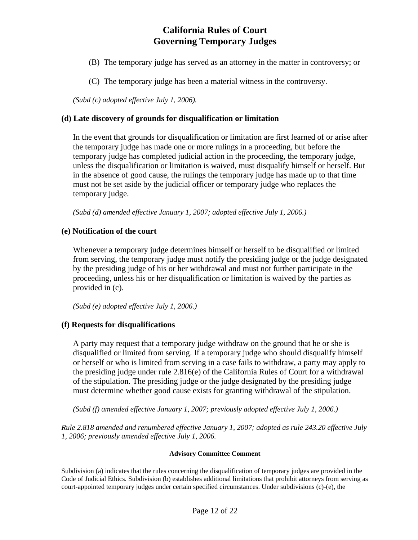- (B) The temporary judge has served as an attorney in the matter in controversy; or
- (C) The temporary judge has been a material witness in the controversy.

*(Subd (c) adopted effective July 1, 2006).* 

# **(d) Late discovery of grounds for disqualification or limitation**

In the event that grounds for disqualification or limitation are first learned of or arise after the temporary judge has made one or more rulings in a proceeding, but before the temporary judge has completed judicial action in the proceeding, the temporary judge, unless the disqualification or limitation is waived, must disqualify himself or herself. But in the absence of good cause, the rulings the temporary judge has made up to that time must not be set aside by the judicial officer or temporary judge who replaces the temporary judge.

*(Subd (d) amended effective January 1, 2007; adopted effective July 1, 2006.)* 

### **(e) Notification of the court**

Whenever a temporary judge determines himself or herself to be disqualified or limited from serving, the temporary judge must notify the presiding judge or the judge designated by the presiding judge of his or her withdrawal and must not further participate in the proceeding, unless his or her disqualification or limitation is waived by the parties as provided in (c).

*(Subd (e) adopted effective July 1, 2006.)* 

### **(f) Requests for disqualifications**

A party may request that a temporary judge withdraw on the ground that he or she is disqualified or limited from serving. If a temporary judge who should disqualify himself or herself or who is limited from serving in a case fails to withdraw, a party may apply to the presiding judge under rule 2.816(e) of the California Rules of Court for a withdrawal of the stipulation. The presiding judge or the judge designated by the presiding judge must determine whether good cause exists for granting withdrawal of the stipulation.

*(Subd (f) amended effective January 1, 2007; previously adopted effective July 1, 2006.)* 

*Rule 2.818 amended and renumbered effective January 1, 2007; adopted as rule 243.20 effective July 1, 2006; previously amended effective July 1, 2006.* 

#### **Advisory Committee Comment**

Subdivision (a) indicates that the rules concerning the disqualification of temporary judges are provided in the Code of Judicial Ethics. Subdivision (b) establishes additional limitations that prohibit attorneys from serving as court-appointed temporary judges under certain specified circumstances. Under subdivisions (c)-(e), the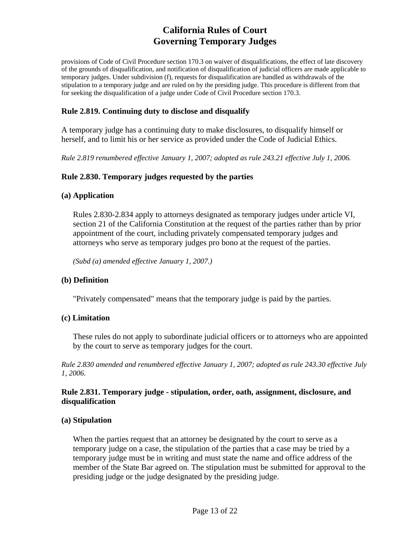provisions of Code of Civil Procedure section 170.3 on waiver of disqualifications, the effect of late discovery of the grounds of disqualification, and notification of disqualification of judicial officers are made applicable to temporary judges. Under subdivision (f), requests for disqualification are handled as withdrawals of the stipulation to a temporary judge and are ruled on by the presiding judge. This procedure is different from that for seeking the disqualification of a judge under Code of Civil Procedure section 170.3.

# **Rule 2.819. Continuing duty to disclose and disqualify**

A temporary judge has a continuing duty to make disclosures, to disqualify himself or herself, and to limit his or her service as provided under the Code of Judicial Ethics.

*Rule 2.819 renumbered effective January 1, 2007; adopted as rule 243.21 effective July 1, 2006.* 

# **Rule 2.830. Temporary judges requested by the parties**

### **(a) Application**

Rules 2.830-2.834 apply to attorneys designated as temporary judges under article VI, section 21 of the California Constitution at the request of the parties rather than by prior appointment of the court, including privately compensated temporary judges and attorneys who serve as temporary judges pro bono at the request of the parties.

*(Subd (a) amended effective January 1, 2007.)* 

### **(b) Definition**

"Privately compensated" means that the temporary judge is paid by the parties.

#### **(c) Limitation**

These rules do not apply to subordinate judicial officers or to attorneys who are appointed by the court to serve as temporary judges for the court.

*Rule 2.830 amended and renumbered effective January 1, 2007; adopted as rule 243.30 effective July 1, 2006.* 

### **Rule 2.831. Temporary judge - stipulation, order, oath, assignment, disclosure, and disqualification**

#### **(a) Stipulation**

When the parties request that an attorney be designated by the court to serve as a temporary judge on a case, the stipulation of the parties that a case may be tried by a temporary judge must be in writing and must state the name and office address of the member of the State Bar agreed on. The stipulation must be submitted for approval to the presiding judge or the judge designated by the presiding judge.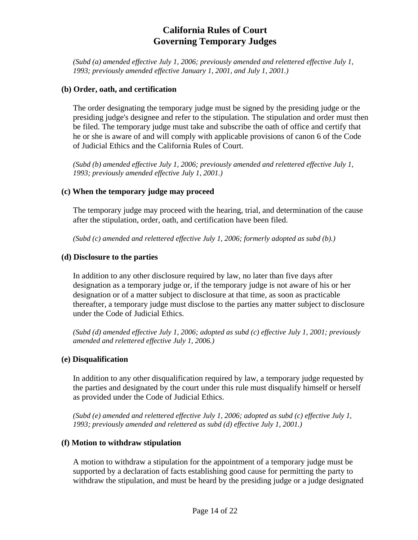*(Subd (a) amended effective July 1, 2006; previously amended and relettered effective July 1, 1993; previously amended effective January 1, 2001, and July 1, 2001.)* 

### **(b) Order, oath, and certification**

The order designating the temporary judge must be signed by the presiding judge or the presiding judge's designee and refer to the stipulation. The stipulation and order must then be filed. The temporary judge must take and subscribe the oath of office and certify that he or she is aware of and will comply with applicable provisions of canon 6 of the Code of Judicial Ethics and the California Rules of Court.

*(Subd (b) amended effective July 1, 2006; previously amended and relettered effective July 1, 1993; previously amended effective July 1, 2001.)* 

# **(c) When the temporary judge may proceed**

The temporary judge may proceed with the hearing, trial, and determination of the cause after the stipulation, order, oath, and certification have been filed.

*(Subd (c) amended and relettered effective July 1, 2006; formerly adopted as subd (b).)* 

# **(d) Disclosure to the parties**

In addition to any other disclosure required by law, no later than five days after designation as a temporary judge or, if the temporary judge is not aware of his or her designation or of a matter subject to disclosure at that time, as soon as practicable thereafter, a temporary judge must disclose to the parties any matter subject to disclosure under the Code of Judicial Ethics.

*(Subd (d) amended effective July 1, 2006; adopted as subd (c) effective July 1, 2001; previously amended and relettered effective July 1, 2006.)* 

### **(e) Disqualification**

In addition to any other disqualification required by law, a temporary judge requested by the parties and designated by the court under this rule must disqualify himself or herself as provided under the Code of Judicial Ethics.

*(Subd (e) amended and relettered effective July 1, 2006; adopted as subd (c) effective July 1, 1993; previously amended and relettered as subd (d) effective July 1, 2001.)* 

### **(f) Motion to withdraw stipulation**

A motion to withdraw a stipulation for the appointment of a temporary judge must be supported by a declaration of facts establishing good cause for permitting the party to withdraw the stipulation, and must be heard by the presiding judge or a judge designated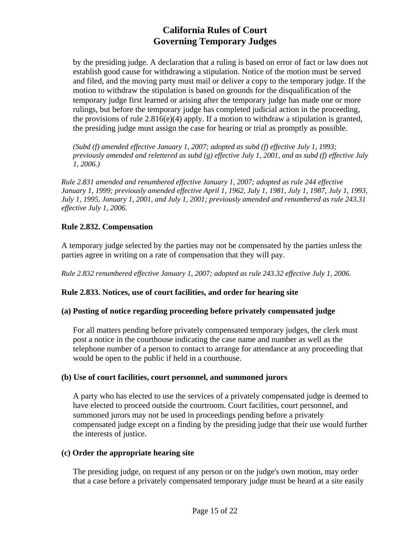by the presiding judge. A declaration that a ruling is based on error of fact or law does not establish good cause for withdrawing a stipulation. Notice of the motion must be served and filed, and the moving party must mail or deliver a copy to the temporary judge. If the motion to withdraw the stipulation is based on grounds for the disqualification of the temporary judge first learned or arising after the temporary judge has made one or more rulings, but before the temporary judge has completed judicial action in the proceeding, the provisions of rule  $2.816(e)(4)$  apply. If a motion to withdraw a stipulation is granted, the presiding judge must assign the case for hearing or trial as promptly as possible.

*(Subd (f) amended effective January 1, 2007; adopted as subd (f) effective July 1, 1993; previously amended and relettered as subd (g) effective July 1, 2001, and as subd (f) effective July 1, 2006.)* 

*Rule 2.831 amended and renumbered effective January 1, 2007; adopted as rule 244 effective January 1, 1999; previously amended effective April 1, 1962, July 1, 1981, July 1, 1987, July 1, 1993, July 1, 1995, January 1, 2001, and July 1, 2001; previously amended and renumbered as rule 243.31 effective July 1, 2006.* 

# **Rule 2.832. Compensation**

A temporary judge selected by the parties may not be compensated by the parties unless the parties agree in writing on a rate of compensation that they will pay.

*Rule 2.832 renumbered effective January 1, 2007; adopted as rule 243.32 effective July 1, 2006.* 

# **Rule 2.833. Notices, use of court facilities, and order for hearing site**

# **(a) Posting of notice regarding proceeding before privately compensated judge**

For all matters pending before privately compensated temporary judges, the clerk must post a notice in the courthouse indicating the case name and number as well as the telephone number of a person to contact to arrange for attendance at any proceeding that would be open to the public if held in a courthouse.

# **(b) Use of court facilities, court personnel, and summoned jurors**

A party who has elected to use the services of a privately compensated judge is deemed to have elected to proceed outside the courtroom. Court facilities, court personnel, and summoned jurors may not be used in proceedings pending before a privately compensated judge except on a finding by the presiding judge that their use would further the interests of justice.

### **(c) Order the appropriate hearing site**

The presiding judge, on request of any person or on the judge's own motion, may order that a case before a privately compensated temporary judge must be heard at a site easily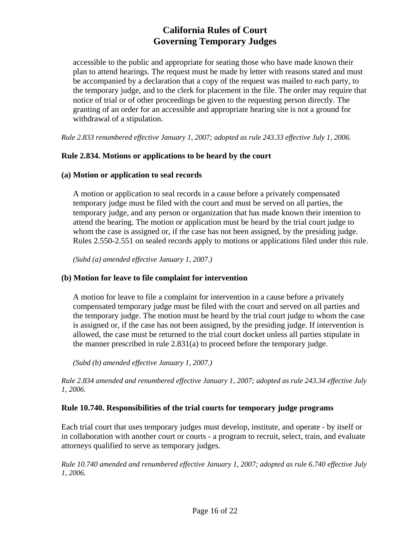accessible to the public and appropriate for seating those who have made known their plan to attend hearings. The request must be made by letter with reasons stated and must be accompanied by a declaration that a copy of the request was mailed to each party, to the temporary judge, and to the clerk for placement in the file. The order may require that notice of trial or of other proceedings be given to the requesting person directly. The granting of an order for an accessible and appropriate hearing site is not a ground for withdrawal of a stipulation.

*Rule 2.833 renumbered effective January 1, 2007; adopted as rule 243.33 effective July 1, 2006.* 

# **Rule 2.834. Motions or applications to be heard by the court**

### **(a) Motion or application to seal records**

A motion or application to seal records in a cause before a privately compensated temporary judge must be filed with the court and must be served on all parties, the temporary judge, and any person or organization that has made known their intention to attend the hearing. The motion or application must be heard by the trial court judge to whom the case is assigned or, if the case has not been assigned, by the presiding judge. Rules 2.550-2.551 on sealed records apply to motions or applications filed under this rule.

*(Subd (a) amended effective January 1, 2007.)* 

### **(b) Motion for leave to file complaint for intervention**

A motion for leave to file a complaint for intervention in a cause before a privately compensated temporary judge must be filed with the court and served on all parties and the temporary judge. The motion must be heard by the trial court judge to whom the case is assigned or, if the case has not been assigned, by the presiding judge. If intervention is allowed, the case must be returned to the trial court docket unless all parties stipulate in the manner prescribed in rule 2.831(a) to proceed before the temporary judge.

*(Subd (b) amended effective January 1, 2007.)* 

*Rule 2.834 amended and renumbered effective January 1, 2007; adopted as rule 243.34 effective July 1, 2006.* 

### **Rule 10.740. Responsibilities of the trial courts for temporary judge programs**

Each trial court that uses temporary judges must develop, institute, and operate - by itself or in collaboration with another court or courts - a program to recruit, select, train, and evaluate attorneys qualified to serve as temporary judges.

*Rule 10.740 amended and renumbered effective January 1, 2007; adopted as rule 6.740 effective July 1, 2006.*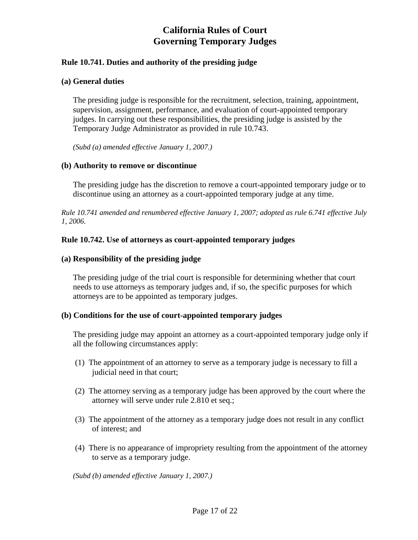# **Rule 10.741. Duties and authority of the presiding judge**

### **(a) General duties**

The presiding judge is responsible for the recruitment, selection, training, appointment, supervision, assignment, performance, and evaluation of court-appointed temporary judges. In carrying out these responsibilities, the presiding judge is assisted by the Temporary Judge Administrator as provided in rule 10.743.

*(Subd (a) amended effective January 1, 2007.)* 

### **(b) Authority to remove or discontinue**

The presiding judge has the discretion to remove a court-appointed temporary judge or to discontinue using an attorney as a court-appointed temporary judge at any time.

*Rule 10.741 amended and renumbered effective January 1, 2007; adopted as rule 6.741 effective July 1, 2006.* 

### **Rule 10.742. Use of attorneys as court-appointed temporary judges**

### **(a) Responsibility of the presiding judge**

The presiding judge of the trial court is responsible for determining whether that court needs to use attorneys as temporary judges and, if so, the specific purposes for which attorneys are to be appointed as temporary judges.

#### **(b) Conditions for the use of court-appointed temporary judges**

The presiding judge may appoint an attorney as a court-appointed temporary judge only if all the following circumstances apply:

- (1) The appointment of an attorney to serve as a temporary judge is necessary to fill a judicial need in that court;
- (2) The attorney serving as a temporary judge has been approved by the court where the attorney will serve under rule 2.810 et seq.;
- (3) The appointment of the attorney as a temporary judge does not result in any conflict of interest; and
- (4) There is no appearance of impropriety resulting from the appointment of the attorney to serve as a temporary judge.

*(Subd (b) amended effective January 1, 2007.)*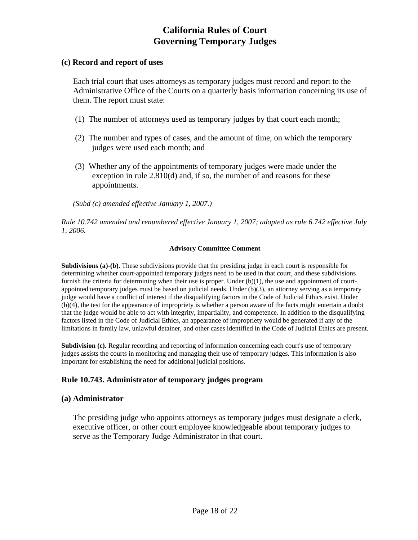#### **(c) Record and report of uses**

Each trial court that uses attorneys as temporary judges must record and report to the Administrative Office of the Courts on a quarterly basis information concerning its use of them. The report must state:

- (1) The number of attorneys used as temporary judges by that court each month;
- (2) The number and types of cases, and the amount of time, on which the temporary judges were used each month; and
- (3) Whether any of the appointments of temporary judges were made under the exception in rule 2.810(d) and, if so, the number of and reasons for these appointments.

*(Subd (c) amended effective January 1, 2007.)* 

*Rule 10.742 amended and renumbered effective January 1, 2007; adopted as rule 6.742 effective July 1, 2006.* 

#### **Advisory Committee Comment**

**Subdivisions (a)-(b).** These subdivisions provide that the presiding judge in each court is responsible for determining whether court-appointed temporary judges need to be used in that court, and these subdivisions furnish the criteria for determining when their use is proper. Under (b)(1), the use and appointment of courtappointed temporary judges must be based on judicial needs. Under (b)(3), an attorney serving as a temporary judge would have a conflict of interest if the disqualifying factors in the Code of Judicial Ethics exist. Under (b)(4), the test for the appearance of impropriety is whether a person aware of the facts might entertain a doubt that the judge would be able to act with integrity, impartiality, and competence. In addition to the disqualifying factors listed in the Code of Judicial Ethics, an appearance of impropriety would be generated if any of the limitations in family law, unlawful detainer, and other cases identified in the Code of Judicial Ethics are present.

**Subdivision (c).** Regular recording and reporting of information concerning each court's use of temporary judges assists the courts in monitoring and managing their use of temporary judges. This information is also important for establishing the need for additional judicial positions.

### **Rule 10.743. Administrator of temporary judges program**

### **(a) Administrator**

The presiding judge who appoints attorneys as temporary judges must designate a clerk, executive officer, or other court employee knowledgeable about temporary judges to serve as the Temporary Judge Administrator in that court.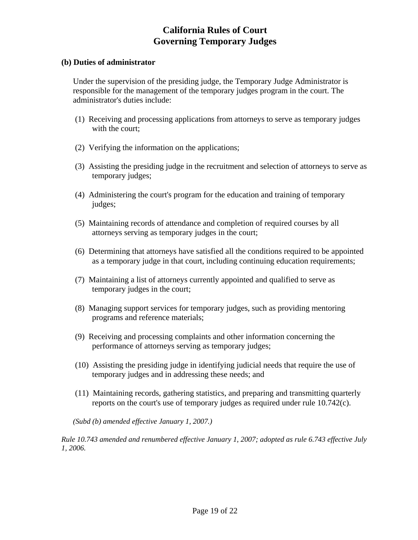### **(b) Duties of administrator**

Under the supervision of the presiding judge, the Temporary Judge Administrator is responsible for the management of the temporary judges program in the court. The administrator's duties include:

- (1) Receiving and processing applications from attorneys to serve as temporary judges with the court;
- (2) Verifying the information on the applications;
- (3) Assisting the presiding judge in the recruitment and selection of attorneys to serve as temporary judges;
- (4) Administering the court's program for the education and training of temporary judges;
- (5) Maintaining records of attendance and completion of required courses by all attorneys serving as temporary judges in the court;
- (6) Determining that attorneys have satisfied all the conditions required to be appointed as a temporary judge in that court, including continuing education requirements;
- (7) Maintaining a list of attorneys currently appointed and qualified to serve as temporary judges in the court;
- (8) Managing support services for temporary judges, such as providing mentoring programs and reference materials;
- (9) Receiving and processing complaints and other information concerning the performance of attorneys serving as temporary judges;
- (10) Assisting the presiding judge in identifying judicial needs that require the use of temporary judges and in addressing these needs; and
- (11) Maintaining records, gathering statistics, and preparing and transmitting quarterly reports on the court's use of temporary judges as required under rule 10.742(c).

*(Subd (b) amended effective January 1, 2007.)* 

*Rule 10.743 amended and renumbered effective January 1, 2007; adopted as rule 6.743 effective July 1, 2006.*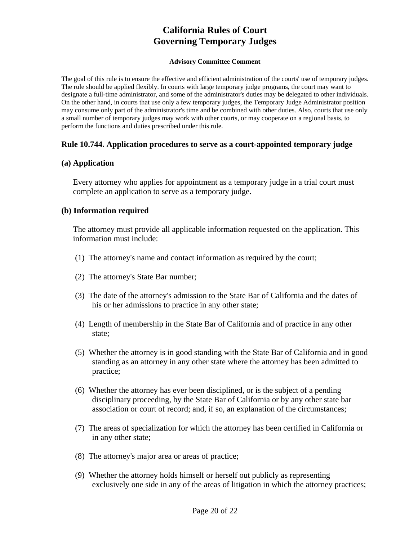#### **Advisory Committee Comment**

The goal of this rule is to ensure the effective and efficient administration of the courts' use of temporary judges. The rule should be applied flexibly. In courts with large temporary judge programs, the court may want to designate a full-time administrator, and some of the administrator's duties may be delegated to other individuals. On the other hand, in courts that use only a few temporary judges, the Temporary Judge Administrator position may consume only part of the administrator's time and be combined with other duties. Also, courts that use only a small number of temporary judges may work with other courts, or may cooperate on a regional basis, to perform the functions and duties prescribed under this rule.

### **Rule 10.744. Application procedures to serve as a court-appointed temporary judge**

### **(a) Application**

Every attorney who applies for appointment as a temporary judge in a trial court must complete an application to serve as a temporary judge.

# **(b) Information required**

The attorney must provide all applicable information requested on the application. This information must include:

- (1) The attorney's name and contact information as required by the court;
- (2) The attorney's State Bar number;
- (3) The date of the attorney's admission to the State Bar of California and the dates of his or her admissions to practice in any other state;
- (4) Length of membership in the State Bar of California and of practice in any other state;
- (5) Whether the attorney is in good standing with the State Bar of California and in good standing as an attorney in any other state where the attorney has been admitted to practice;
- (6) Whether the attorney has ever been disciplined, or is the subject of a pending disciplinary proceeding, by the State Bar of California or by any other state bar association or court of record; and, if so, an explanation of the circumstances;
- (7) The areas of specialization for which the attorney has been certified in California or in any other state;
- (8) The attorney's major area or areas of practice;
- (9) Whether the attorney holds himself or herself out publicly as representing exclusively one side in any of the areas of litigation in which the attorney practices;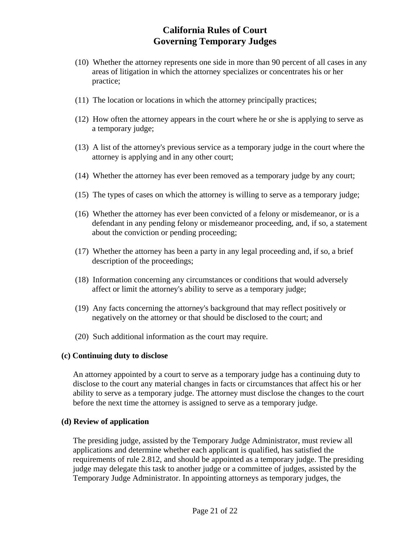- (10) Whether the attorney represents one side in more than 90 percent of all cases in any areas of litigation in which the attorney specializes or concentrates his or her practice;
- (11) The location or locations in which the attorney principally practices;
- (12) How often the attorney appears in the court where he or she is applying to serve as a temporary judge;
- (13) A list of the attorney's previous service as a temporary judge in the court where the attorney is applying and in any other court;
- (14) Whether the attorney has ever been removed as a temporary judge by any court;
- (15) The types of cases on which the attorney is willing to serve as a temporary judge;
- (16) Whether the attorney has ever been convicted of a felony or misdemeanor, or is a defendant in any pending felony or misdemeanor proceeding, and, if so, a statement about the conviction or pending proceeding;
- (17) Whether the attorney has been a party in any legal proceeding and, if so, a brief description of the proceedings;
- (18) Information concerning any circumstances or conditions that would adversely affect or limit the attorney's ability to serve as a temporary judge;
- (19) Any facts concerning the attorney's background that may reflect positively or negatively on the attorney or that should be disclosed to the court; and
- (20) Such additional information as the court may require.

### **(c) Continuing duty to disclose**

An attorney appointed by a court to serve as a temporary judge has a continuing duty to disclose to the court any material changes in facts or circumstances that affect his or her ability to serve as a temporary judge. The attorney must disclose the changes to the court before the next time the attorney is assigned to serve as a temporary judge.

### **(d) Review of application**

The presiding judge, assisted by the Temporary Judge Administrator, must review all applications and determine whether each applicant is qualified, has satisfied the requirements of rule 2.812, and should be appointed as a temporary judge. The presiding judge may delegate this task to another judge or a committee of judges, assisted by the Temporary Judge Administrator. In appointing attorneys as temporary judges, the